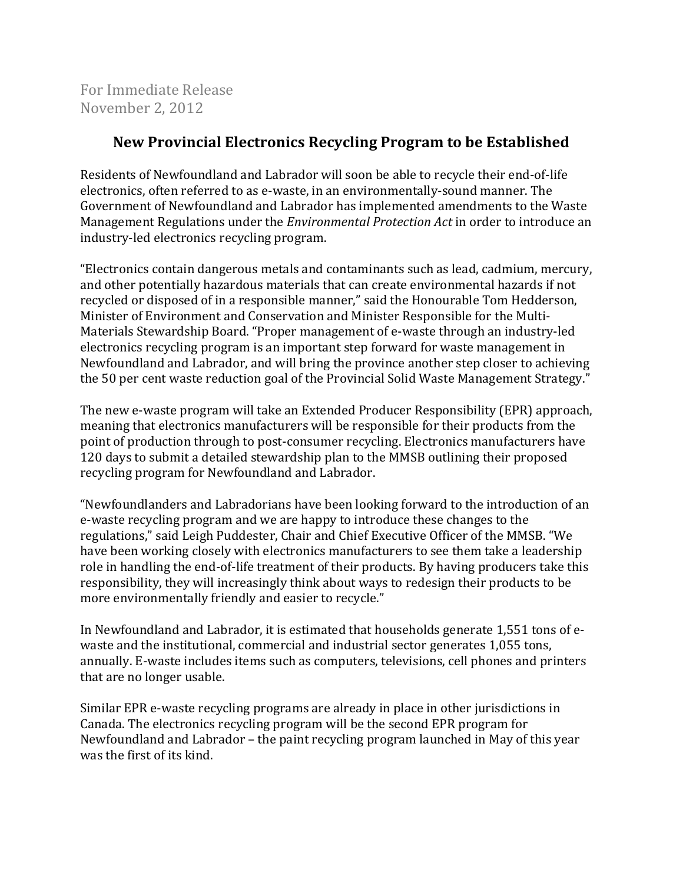For Immediate Release November 2, 2012

## **New Provincial Electronics Recycling Program to be Established**

Residents of Newfoundland and Labrador will soon be able to recycle their end-of-life electronics, often referred to as e-waste, in an environmentally-sound manner. The Government of Newfoundland and Labrador has implemented amendments to the Waste Management Regulations under the *Environmental Protection Act* in order to introduce an industry-led electronics recycling program.

"Electronics contain dangerous metals and contaminants such as lead, cadmium, mercury, and other potentially hazardous materials that can create environmental hazards if not recycled or disposed of in a responsible manner," said the Honourable Tom Hedderson, Minister of Environment and Conservation and Minister Responsible for the Multi-Materials Stewardship Board. "Proper management of e-waste through an industry-led electronics recycling program is an important step forward for waste management in Newfoundland and Labrador, and will bring the province another step closer to achieving the 50 per cent waste reduction goal of the Provincial Solid Waste Management Strategy."

The new e-waste program will take an Extended Producer Responsibility (EPR) approach, meaning that electronics manufacturers will be responsible for their products from the point of production through to post-consumer recycling. Electronics manufacturers have 120 days to submit a detailed stewardship plan to the MMSB outlining their proposed recycling program for Newfoundland and Labrador.

"Newfoundlanders and Labradorians have been looking forward to the introduction of an e-waste recycling program and we are happy to introduce these changes to the regulations," said Leigh Puddester, Chair and Chief Executive Officer of the MMSB. "We have been working closely with electronics manufacturers to see them take a leadership role in handling the end-of-life treatment of their products. By having producers take this responsibility, they will increasingly think about ways to redesign their products to be more environmentally friendly and easier to recycle."

In Newfoundland and Labrador, it is estimated that households generate 1,551 tons of ewaste and the institutional, commercial and industrial sector generates 1,055 tons, annually. E-waste includes items such as computers, televisions, cell phones and printers that are no longer usable.

Similar EPR e-waste recycling programs are already in place in other jurisdictions in Canada. The electronics recycling program will be the second EPR program for Newfoundland and Labrador – the paint recycling program launched in May of this year was the first of its kind.